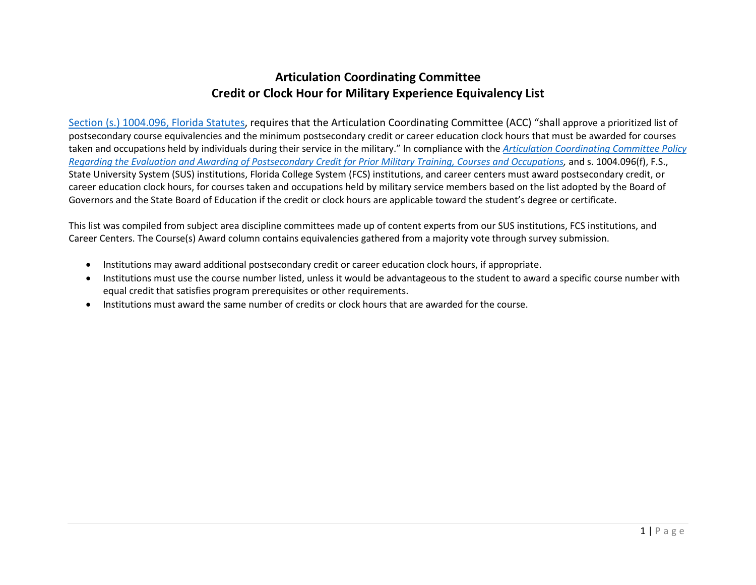## **Articulation Coordinating Committee Credit or Clock Hour for Military Experience Equivalency List**

[Section \(s.\) 1004.096, Florida Statutes,](http://www.leg.state.fl.us/Statutes/index.cfm?App_mode=Display_Statute&Search_String=&URL=1000-1099/1004/Sections/1004.096.html) requires that the Articulation Coordinating Committee (ACC) "shall approve a prioritized list of postsecondary course equivalencies and the minimum postsecondary credit or career education clock hours that must be awarded for courses taken and occupations held by individuals during their service in the military." In compliance with the *[Articulation Coordinating](https://www.fldoe.org/core/fileparse.php/5421/urlt/ACCPolicyRegardEvalAwardCreditPriorMilitaryTrain.pdf) Committee Policy [Regarding the Evaluation and Awarding of Postsecondary Credit](https://www.fldoe.org/core/fileparse.php/5421/urlt/ACCPolicyRegardEvalAwardCreditPriorMilitaryTrain.pdf) for Prior Military Training, Courses and Occupations,* and s. 1004.096(f), F.S., State University System (SUS) institutions, Florida College System (FCS) institutions, and career centers must award postsecondary credit, or career education clock hours, for courses taken and occupations held by military service members based on the list adopted by the Board of Governors and the State Board of Education if the credit or clock hours are applicable toward the student's degree or certificate.

This list was compiled from subject area discipline committees made up of content experts from our SUS institutions, FCS institutions, and Career Centers. The Course(s) Award column contains equivalencies gathered from a majority vote through survey submission.

- Institutions may award additional postsecondary credit or career education clock hours, if appropriate.
- Institutions must use the course number listed, unless it would be advantageous to the student to award a specific course number with equal credit that satisfies program prerequisites or other requirements.
- Institutions must award the same number of credits or clock hours that are awarded for the course.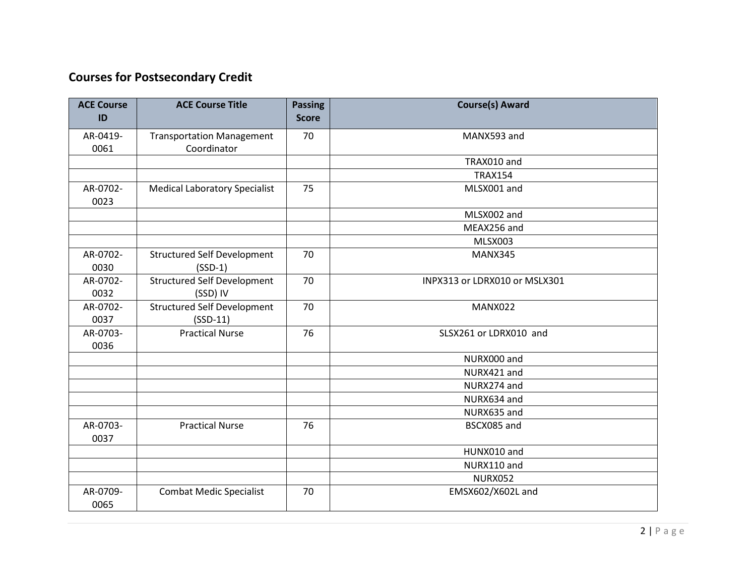# **Courses for Postsecondary Credit**

| <b>ACE Course</b><br>ID | <b>ACE Course Title</b>                          | <b>Passing</b><br><b>Score</b> | <b>Course(s) Award</b>        |
|-------------------------|--------------------------------------------------|--------------------------------|-------------------------------|
| AR-0419-<br>0061        | <b>Transportation Management</b><br>Coordinator  | 70                             | MANX593 and                   |
|                         |                                                  |                                | TRAX010 and                   |
|                         |                                                  |                                | <b>TRAX154</b>                |
| AR-0702-<br>0023        | <b>Medical Laboratory Specialist</b>             | 75                             | MLSX001 and                   |
|                         |                                                  |                                | MLSX002 and                   |
|                         |                                                  |                                | MEAX256 and                   |
|                         |                                                  |                                | MLSX003                       |
| AR-0702-<br>0030        | <b>Structured Self Development</b><br>$(SSD-1)$  | 70                             | MANX345                       |
| AR-0702-<br>0032        | <b>Structured Self Development</b><br>(SSD) IV   | 70                             | INPX313 or LDRX010 or MSLX301 |
| AR-0702-<br>0037        | <b>Structured Self Development</b><br>$(SSD-11)$ | 70                             | MANX022                       |
| AR-0703-<br>0036        | <b>Practical Nurse</b>                           | 76                             | SLSX261 or LDRX010 and        |
|                         |                                                  |                                | NURX000 and                   |
|                         |                                                  |                                | NURX421 and                   |
|                         |                                                  |                                | NURX274 and                   |
|                         |                                                  |                                | NURX634 and                   |
|                         |                                                  |                                | NURX635 and                   |
| AR-0703-<br>0037        | <b>Practical Nurse</b>                           | 76                             | BSCX085 and                   |
|                         |                                                  |                                | HUNX010 and                   |
|                         |                                                  |                                | NURX110 and                   |
|                         |                                                  |                                | <b>NURX052</b>                |
| AR-0709-<br>0065        | <b>Combat Medic Specialist</b>                   | 70                             | EMSX602/X602L and             |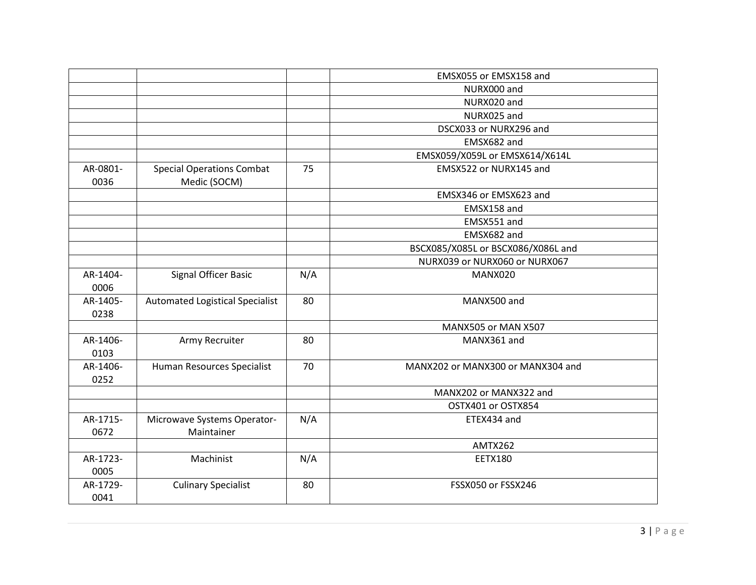|                  |                                                  |     | EMSX055 or EMSX158 and             |
|------------------|--------------------------------------------------|-----|------------------------------------|
|                  |                                                  |     | NURX000 and                        |
|                  |                                                  |     | NURX020 and                        |
|                  |                                                  |     | NURX025 and                        |
|                  |                                                  |     | DSCX033 or NURX296 and             |
|                  |                                                  |     | EMSX682 and                        |
|                  |                                                  |     | EMSX059/X059L or EMSX614/X614L     |
| AR-0801-<br>0036 | <b>Special Operations Combat</b><br>Medic (SOCM) | 75  | EMSX522 or NURX145 and             |
|                  |                                                  |     | EMSX346 or EMSX623 and             |
|                  |                                                  |     | EMSX158 and                        |
|                  |                                                  |     | EMSX551 and                        |
|                  |                                                  |     | EMSX682 and                        |
|                  |                                                  |     | BSCX085/X085L or BSCX086/X086L and |
|                  |                                                  |     | NURX039 or NURX060 or NURX067      |
| AR-1404-<br>0006 | Signal Officer Basic                             | N/A | MANX020                            |
| AR-1405-<br>0238 | <b>Automated Logistical Specialist</b>           | 80  | MANX500 and                        |
|                  |                                                  |     | MANX505 or MAN X507                |
| AR-1406-<br>0103 | Army Recruiter                                   | 80  | MANX361 and                        |
| AR-1406-<br>0252 | Human Resources Specialist                       | 70  | MANX202 or MANX300 or MANX304 and  |
|                  |                                                  |     | MANX202 or MANX322 and             |
|                  |                                                  |     | OSTX401 or OSTX854                 |
| AR-1715-<br>0672 | Microwave Systems Operator-<br>Maintainer        | N/A | ETEX434 and                        |
|                  |                                                  |     | AMTX262                            |
| AR-1723-<br>0005 | Machinist                                        | N/A | <b>EETX180</b>                     |
| AR-1729-<br>0041 | <b>Culinary Specialist</b>                       | 80  | FSSX050 or FSSX246                 |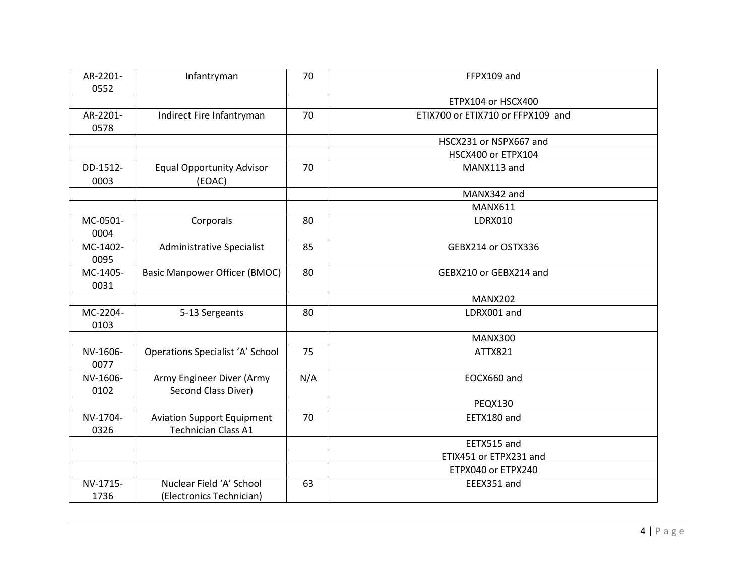| AR-2201-<br>0552 | Infantryman                                                     | 70  | FFPX109 and                       |
|------------------|-----------------------------------------------------------------|-----|-----------------------------------|
|                  |                                                                 |     | ETPX104 or HSCX400                |
| AR-2201-<br>0578 | Indirect Fire Infantryman                                       | 70  | ETIX700 or ETIX710 or FFPX109 and |
|                  |                                                                 |     | HSCX231 or NSPX667 and            |
|                  |                                                                 |     | HSCX400 or ETPX104                |
| DD-1512-<br>0003 | <b>Equal Opportunity Advisor</b><br>(EOAC)                      | 70  | MANX113 and                       |
|                  |                                                                 |     | MANX342 and                       |
|                  |                                                                 |     | <b>MANX611</b>                    |
| MC-0501-<br>0004 | Corporals                                                       | 80  | <b>LDRX010</b>                    |
| MC-1402-<br>0095 | <b>Administrative Specialist</b>                                | 85  | GEBX214 or OSTX336                |
| MC-1405-<br>0031 | <b>Basic Manpower Officer (BMOC)</b>                            | 80  | GEBX210 or GEBX214 and            |
|                  |                                                                 |     | <b>MANX202</b>                    |
| MC-2204-<br>0103 | 5-13 Sergeants                                                  | 80  | LDRX001 and                       |
|                  |                                                                 |     | <b>MANX300</b>                    |
| NV-1606-<br>0077 | <b>Operations Specialist 'A' School</b>                         | 75  | ATTX821                           |
| NV-1606-<br>0102 | Army Engineer Diver (Army<br>Second Class Diver)                | N/A | EOCX660 and                       |
|                  |                                                                 |     | <b>PEQX130</b>                    |
| NV-1704-<br>0326 | <b>Aviation Support Equipment</b><br><b>Technician Class A1</b> | 70  | EETX180 and                       |
|                  |                                                                 |     | EETX515 and                       |
|                  |                                                                 |     | ETIX451 or ETPX231 and            |
|                  |                                                                 |     | ETPX040 or ETPX240                |
| NV-1715-         | Nuclear Field 'A' School                                        | 63  | EEEX351 and                       |
| 1736             | (Electronics Technician)                                        |     |                                   |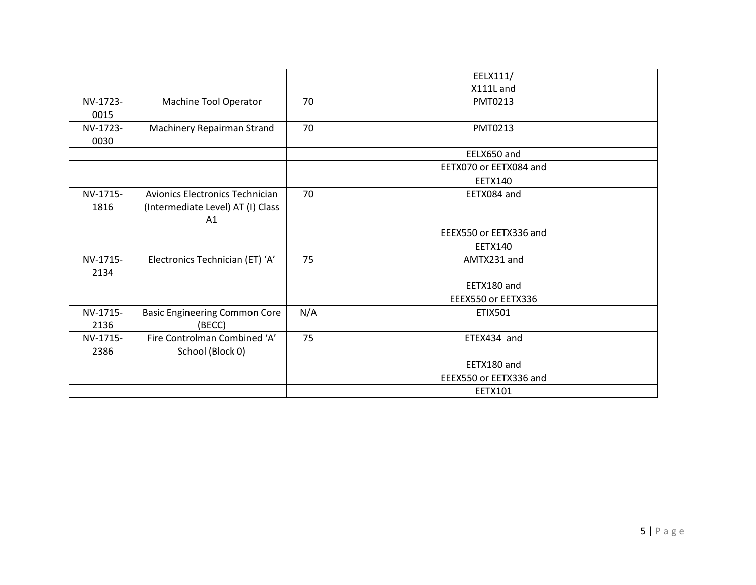|          |                                        |     | EELX111/               |
|----------|----------------------------------------|-----|------------------------|
|          |                                        |     | X111L and              |
| NV-1723- | Machine Tool Operator                  | 70  | PMT0213                |
| 0015     |                                        |     |                        |
| NV-1723- | Machinery Repairman Strand             | 70  | PMT0213                |
| 0030     |                                        |     |                        |
|          |                                        |     | EELX650 and            |
|          |                                        |     | EETX070 or EETX084 and |
|          |                                        |     | <b>EETX140</b>         |
| NV-1715- | <b>Avionics Electronics Technician</b> | 70  | EETX084 and            |
| 1816     | (Intermediate Level) AT (I) Class      |     |                        |
|          | A1                                     |     |                        |
|          |                                        |     | EEEX550 or EETX336 and |
|          |                                        |     | <b>EETX140</b>         |
| NV-1715- | Electronics Technician (ET) 'A'        | 75  | AMTX231 and            |
| 2134     |                                        |     |                        |
|          |                                        |     | EETX180 and            |
|          |                                        |     | EEEX550 or EETX336     |
| NV-1715- | <b>Basic Engineering Common Core</b>   | N/A | <b>ETIX501</b>         |
| 2136     | (BECC)                                 |     |                        |
| NV-1715- | Fire Controlman Combined 'A'           | 75  | ETEX434 and            |
| 2386     | School (Block 0)                       |     |                        |
|          |                                        |     | EETX180 and            |
|          |                                        |     | EEEX550 or EETX336 and |
|          |                                        |     | <b>EETX101</b>         |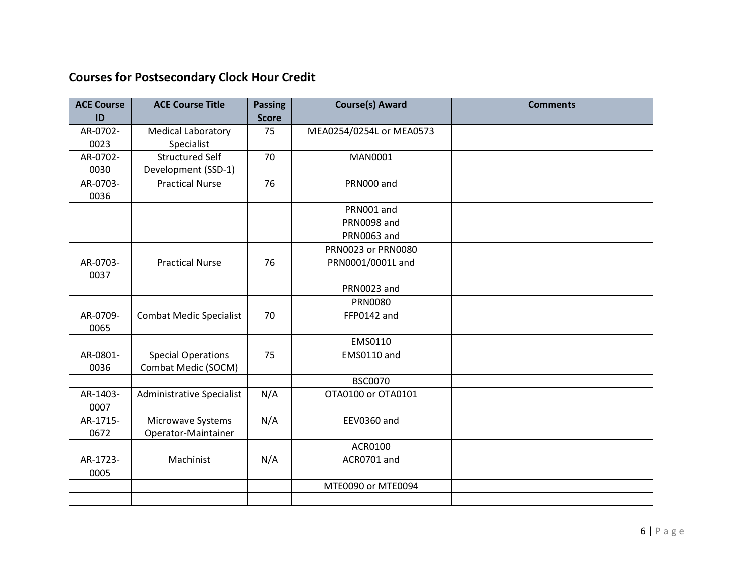# **Courses for Postsecondary Clock Hour Credit**

| <b>ACE Course</b> | <b>ACE Course Title</b>        | <b>Passing</b> | <b>Course(s) Award</b>   | <b>Comments</b> |
|-------------------|--------------------------------|----------------|--------------------------|-----------------|
| ID                |                                | <b>Score</b>   |                          |                 |
| AR-0702-          | <b>Medical Laboratory</b>      | 75             | MEA0254/0254L or MEA0573 |                 |
| 0023              | Specialist                     |                |                          |                 |
| AR-0702-          | <b>Structured Self</b>         | 70             | <b>MAN0001</b>           |                 |
| 0030              | Development (SSD-1)            |                |                          |                 |
| AR-0703-          | <b>Practical Nurse</b>         | 76             | PRN000 and               |                 |
| 0036              |                                |                |                          |                 |
|                   |                                |                | PRN001 and               |                 |
|                   |                                |                | <b>PRN0098 and</b>       |                 |
|                   |                                |                | <b>PRN0063 and</b>       |                 |
|                   |                                |                | PRN0023 or PRN0080       |                 |
| AR-0703-          | <b>Practical Nurse</b>         | 76             | PRN0001/0001L and        |                 |
| 0037              |                                |                |                          |                 |
|                   |                                |                | PRN0023 and              |                 |
|                   |                                |                | <b>PRN0080</b>           |                 |
| AR-0709-          | <b>Combat Medic Specialist</b> | 70             | FFP0142 and              |                 |
| 0065              |                                |                |                          |                 |
|                   |                                |                | EMS0110                  |                 |
| AR-0801-          | <b>Special Operations</b>      | 75             | EMS0110 and              |                 |
| 0036              | Combat Medic (SOCM)            |                |                          |                 |
|                   |                                |                | <b>BSC0070</b>           |                 |
| AR-1403-          | Administrative Specialist      | N/A            | OTA0100 or OTA0101       |                 |
| 0007              |                                |                |                          |                 |
| AR-1715-          | Microwave Systems              | N/A            | <b>EEV0360 and</b>       |                 |
| 0672              | Operator-Maintainer            |                |                          |                 |
|                   |                                |                | ACR0100                  |                 |
| AR-1723-          | Machinist                      | N/A            | ACR0701 and              |                 |
| 0005              |                                |                |                          |                 |
|                   |                                |                | MTE0090 or MTE0094       |                 |
|                   |                                |                |                          |                 |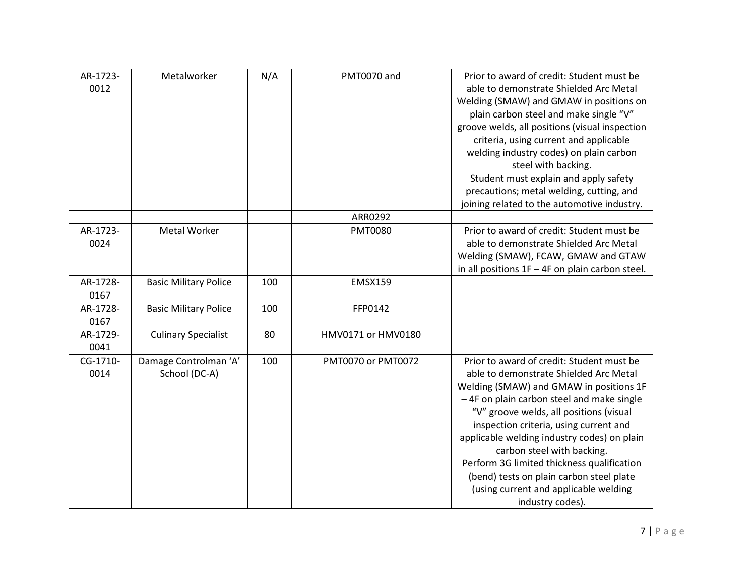| AR-1723-<br>0012 | Metalworker                            | N/A | PMT0070 and        | Prior to award of credit: Student must be<br>able to demonstrate Shielded Arc Metal<br>Welding (SMAW) and GMAW in positions on<br>plain carbon steel and make single "V"<br>groove welds, all positions (visual inspection<br>criteria, using current and applicable<br>welding industry codes) on plain carbon<br>steel with backing.<br>Student must explain and apply safety<br>precautions; metal welding, cutting, and<br>joining related to the automotive industry.                           |
|------------------|----------------------------------------|-----|--------------------|------------------------------------------------------------------------------------------------------------------------------------------------------------------------------------------------------------------------------------------------------------------------------------------------------------------------------------------------------------------------------------------------------------------------------------------------------------------------------------------------------|
|                  |                                        |     | ARR0292            |                                                                                                                                                                                                                                                                                                                                                                                                                                                                                                      |
| AR-1723-<br>0024 | <b>Metal Worker</b>                    |     | <b>PMT0080</b>     | Prior to award of credit: Student must be<br>able to demonstrate Shielded Arc Metal<br>Welding (SMAW), FCAW, GMAW and GTAW<br>in all positions $1F - 4F$ on plain carbon steel.                                                                                                                                                                                                                                                                                                                      |
| AR-1728-<br>0167 | <b>Basic Military Police</b>           | 100 | <b>EMSX159</b>     |                                                                                                                                                                                                                                                                                                                                                                                                                                                                                                      |
| AR-1728-<br>0167 | <b>Basic Military Police</b>           | 100 | FFP0142            |                                                                                                                                                                                                                                                                                                                                                                                                                                                                                                      |
| AR-1729-<br>0041 | <b>Culinary Specialist</b>             | 80  | HMV0171 or HMV0180 |                                                                                                                                                                                                                                                                                                                                                                                                                                                                                                      |
| CG-1710-<br>0014 | Damage Controlman 'A'<br>School (DC-A) | 100 | PMT0070 or PMT0072 | Prior to award of credit: Student must be<br>able to demonstrate Shielded Arc Metal<br>Welding (SMAW) and GMAW in positions 1F<br>-4F on plain carbon steel and make single<br>"V" groove welds, all positions (visual<br>inspection criteria, using current and<br>applicable welding industry codes) on plain<br>carbon steel with backing.<br>Perform 3G limited thickness qualification<br>(bend) tests on plain carbon steel plate<br>(using current and applicable welding<br>industry codes). |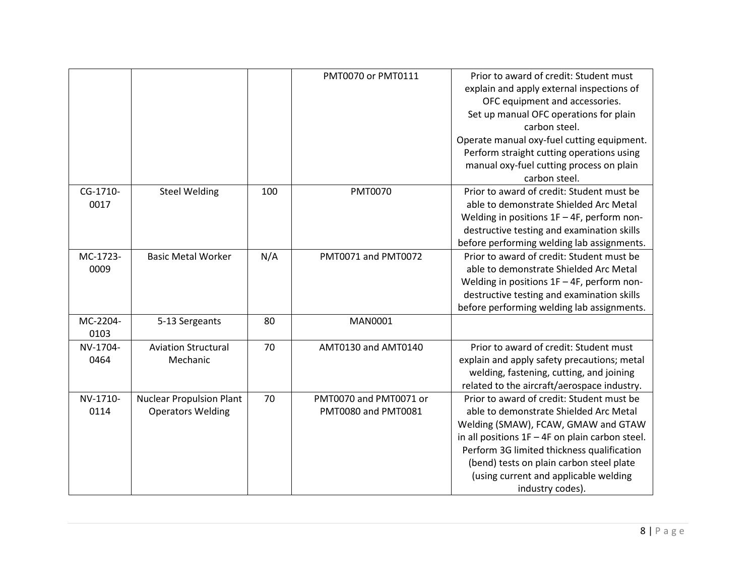|          |                                 |     | PMT0070 or PMT0111     | Prior to award of credit: Student must            |
|----------|---------------------------------|-----|------------------------|---------------------------------------------------|
|          |                                 |     |                        | explain and apply external inspections of         |
|          |                                 |     |                        | OFC equipment and accessories.                    |
|          |                                 |     |                        | Set up manual OFC operations for plain            |
|          |                                 |     |                        | carbon steel.                                     |
|          |                                 |     |                        | Operate manual oxy-fuel cutting equipment.        |
|          |                                 |     |                        | Perform straight cutting operations using         |
|          |                                 |     |                        | manual oxy-fuel cutting process on plain          |
|          |                                 |     |                        | carbon steel.                                     |
| CG-1710- | <b>Steel Welding</b>            | 100 | <b>PMT0070</b>         | Prior to award of credit: Student must be         |
| 0017     |                                 |     |                        | able to demonstrate Shielded Arc Metal            |
|          |                                 |     |                        | Welding in positions $1F - 4F$ , perform non-     |
|          |                                 |     |                        | destructive testing and examination skills        |
|          |                                 |     |                        | before performing welding lab assignments.        |
| MC-1723- | <b>Basic Metal Worker</b>       | N/A | PMT0071 and PMT0072    | Prior to award of credit: Student must be         |
| 0009     |                                 |     |                        | able to demonstrate Shielded Arc Metal            |
|          |                                 |     |                        | Welding in positions $1F - 4F$ , perform non-     |
|          |                                 |     |                        | destructive testing and examination skills        |
|          |                                 |     |                        | before performing welding lab assignments.        |
| MC-2204- | 5-13 Sergeants                  | 80  | <b>MAN0001</b>         |                                                   |
| 0103     |                                 |     |                        |                                                   |
| NV-1704- | <b>Aviation Structural</b>      | 70  | AMT0130 and AMT0140    | Prior to award of credit: Student must            |
| 0464     | Mechanic                        |     |                        | explain and apply safety precautions; metal       |
|          |                                 |     |                        | welding, fastening, cutting, and joining          |
|          |                                 |     |                        | related to the aircraft/aerospace industry.       |
| NV-1710- | <b>Nuclear Propulsion Plant</b> | 70  | PMT0070 and PMT0071 or | Prior to award of credit: Student must be         |
| 0114     | <b>Operators Welding</b>        |     | PMT0080 and PMT0081    | able to demonstrate Shielded Arc Metal            |
|          |                                 |     |                        | Welding (SMAW), FCAW, GMAW and GTAW               |
|          |                                 |     |                        | in all positions $1F - 4F$ on plain carbon steel. |
|          |                                 |     |                        | Perform 3G limited thickness qualification        |
|          |                                 |     |                        | (bend) tests on plain carbon steel plate          |
|          |                                 |     |                        | (using current and applicable welding             |
|          |                                 |     |                        | industry codes).                                  |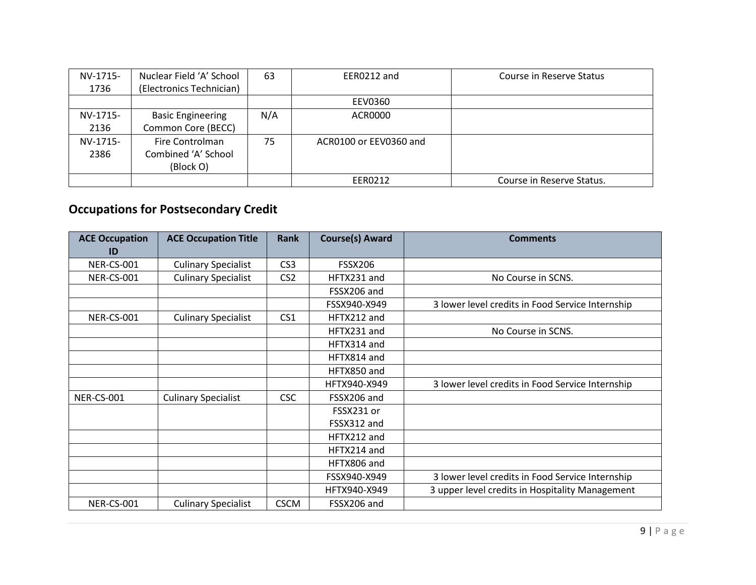| NV-1715- | Nuclear Field 'A' School | 63  | EER0212 and            | Course in Reserve Status  |
|----------|--------------------------|-----|------------------------|---------------------------|
| 1736     | (Electronics Technician) |     |                        |                           |
|          |                          |     | EEV0360                |                           |
| NV-1715- | <b>Basic Engineering</b> | N/A | ACR0000                |                           |
| 2136     | Common Core (BECC)       |     |                        |                           |
| NV-1715- | Fire Controlman          | 75  | ACR0100 or EEV0360 and |                           |
| 2386     | Combined 'A' School      |     |                        |                           |
|          | (Block O)                |     |                        |                           |
|          |                          |     | EER0212                | Course in Reserve Status. |

# **Occupations for Postsecondary Credit**

| <b>ACE Occupation</b><br>ID | <b>ACE Occupation Title</b> | <b>Rank</b>     | <b>Course(s) Award</b> | <b>Comments</b>                                  |
|-----------------------------|-----------------------------|-----------------|------------------------|--------------------------------------------------|
| <b>NER-CS-001</b>           | <b>Culinary Specialist</b>  | CS <sub>3</sub> | <b>FSSX206</b>         |                                                  |
| <b>NER-CS-001</b>           | <b>Culinary Specialist</b>  | CS <sub>2</sub> | HFTX231 and            | No Course in SCNS.                               |
|                             |                             |                 | FSSX206 and            |                                                  |
|                             |                             |                 | FSSX940-X949           | 3 lower level credits in Food Service Internship |
| <b>NER-CS-001</b>           | <b>Culinary Specialist</b>  | CS <sub>1</sub> | HFTX212 and            |                                                  |
|                             |                             |                 | HFTX231 and            | No Course in SCNS.                               |
|                             |                             |                 | HFTX314 and            |                                                  |
|                             |                             |                 | HFTX814 and            |                                                  |
|                             |                             |                 | HFTX850 and            |                                                  |
|                             |                             |                 | HFTX940-X949           | 3 lower level credits in Food Service Internship |
| <b>NER-CS-001</b>           | <b>Culinary Specialist</b>  | <b>CSC</b>      | FSSX206 and            |                                                  |
|                             |                             |                 | FSSX231 or             |                                                  |
|                             |                             |                 | FSSX312 and            |                                                  |
|                             |                             |                 | HFTX212 and            |                                                  |
|                             |                             |                 | HFTX214 and            |                                                  |
|                             |                             |                 | HFTX806 and            |                                                  |
|                             |                             |                 | FSSX940-X949           | 3 lower level credits in Food Service Internship |
|                             |                             |                 | HFTX940-X949           | 3 upper level credits in Hospitality Management  |
| <b>NER-CS-001</b>           | <b>Culinary Specialist</b>  | <b>CSCM</b>     | FSSX206 and            |                                                  |